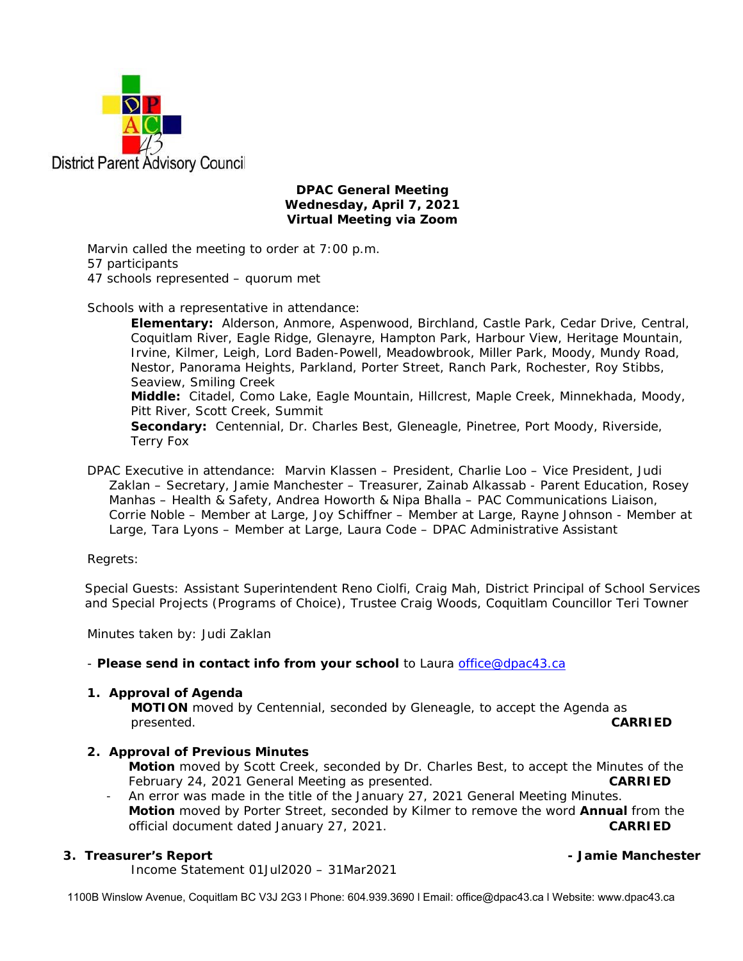

### **DPAC General Meeting Wednesday, April 7, 2021 Virtual Meeting via Zoom**

Marvin called the meeting to order at 7:00 p.m. 57 participants 47 schools represented – quorum met

Schools with a representative in attendance:

**Elementary:** Alderson, Anmore, Aspenwood, Birchland, Castle Park, Cedar Drive, Central, Coquitlam River, Eagle Ridge, Glenayre, Hampton Park, Harbour View, Heritage Mountain, Irvine, Kilmer, Leigh, Lord Baden-Powell, Meadowbrook, Miller Park, Moody, Mundy Road, Nestor, Panorama Heights, Parkland, Porter Street, Ranch Park, Rochester, Roy Stibbs, Seaview, Smiling Creek **Middle:** Citadel, Como Lake, Eagle Mountain, Hillcrest, Maple Creek, Minnekhada, Moody, Pitt River, Scott Creek, Summit

**Secondary:** Centennial, Dr. Charles Best, Gleneagle, Pinetree, Port Moody, Riverside, Terry Fox

DPAC Executive in attendance: Marvin Klassen – President, Charlie Loo – Vice President, Judi Zaklan – Secretary, Jamie Manchester – Treasurer, Zainab Alkassab - Parent Education, Rosey Manhas – Health & Safety, Andrea Howorth & Nipa Bhalla – PAC Communications Liaison, Corrie Noble – Member at Large, Joy Schiffner – Member at Large, Rayne Johnson - Member at Large, Tara Lyons – Member at Large, Laura Code – DPAC Administrative Assistant

Regrets:

Special Guests: Assistant Superintendent Reno Ciolfi, Craig Mah, District Principal of School Services and Special Projects (Programs of Choice), Trustee Craig Woods, Coquitlam Councillor Teri Towner

Minutes taken by: Judi Zaklan

### - *Please send in contact info from your school* to Laura office@dpac43.ca

### **1. Approval of Agenda**

**MOTION** moved by *Centennial*, seconded by *Gleneagle*, to accept the Agenda as presented. **CARRIED** 

### **2. Approval of Previous Minutes**

**Motion** moved by *Scott Creek*, seconded by *Dr. Charles Best*, to accept the Minutes of the February 24, 2021 General Meeting as presented. **CARRIED**

An error was made in the title of the January 27, 2021 General Meeting Minutes. **Motion** moved by *Porter Street*, seconded by *Kilmer* to remove the word **Annual** from the official document dated January 27, 2021. **CARRIED** 

### **3. Treasurer's Report - Jamie Manchester**

Income Statement 01Jul2020 – 31Mar2021

1100B Winslow Avenue, Coquitlam BC V3J 2G3 l Phone: 604.939.3690 l Email: office@dpac43.ca l Website: www.dpac43.ca